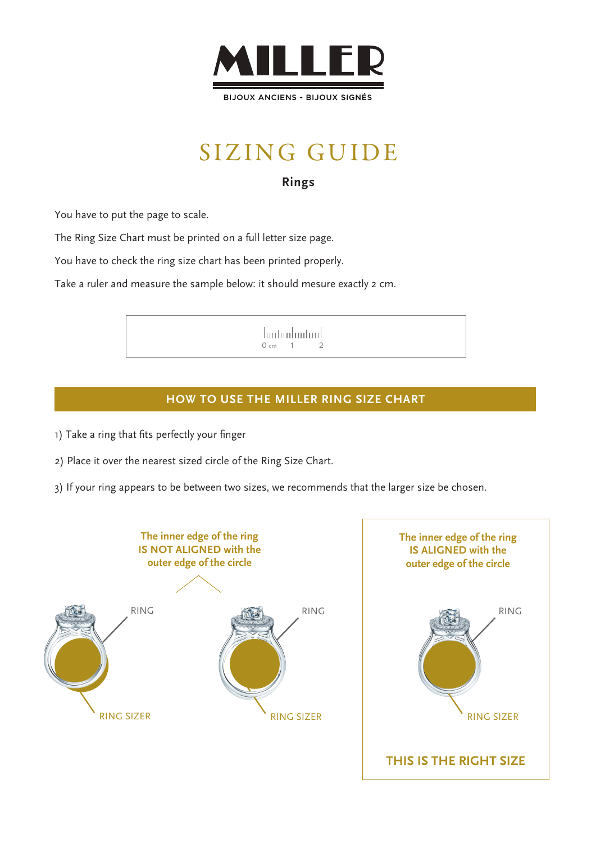

BIJOUX ANCIENS - BIJOUX SIGNÉS

## SIZING GUIDE

#### **Rings**

You have to put the page to scale.

The Ring Size Chart must be printed on a full letter size page.

You have to check the ring size chart has been printed properly.

Take a ruler and measure the sample below: it should mesure exactly 2 cm.

hutuuluutuul  $0 cm 1$ 

#### **HOW TO USE THE MILLER RING SIZE CHART**

- 1) Take a ring that fits perfectly your finger
- 2) Place it over the nearest sized circle of the Ring Size Chart.
- 3) If your ring appears to be between two sizes, we recommends that the larger size be chosen.

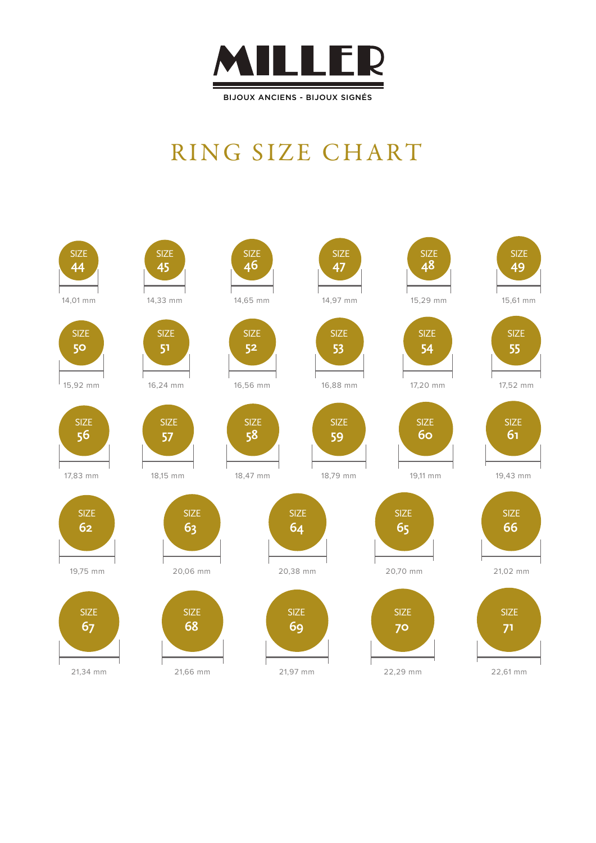

## RING SIZE CHART